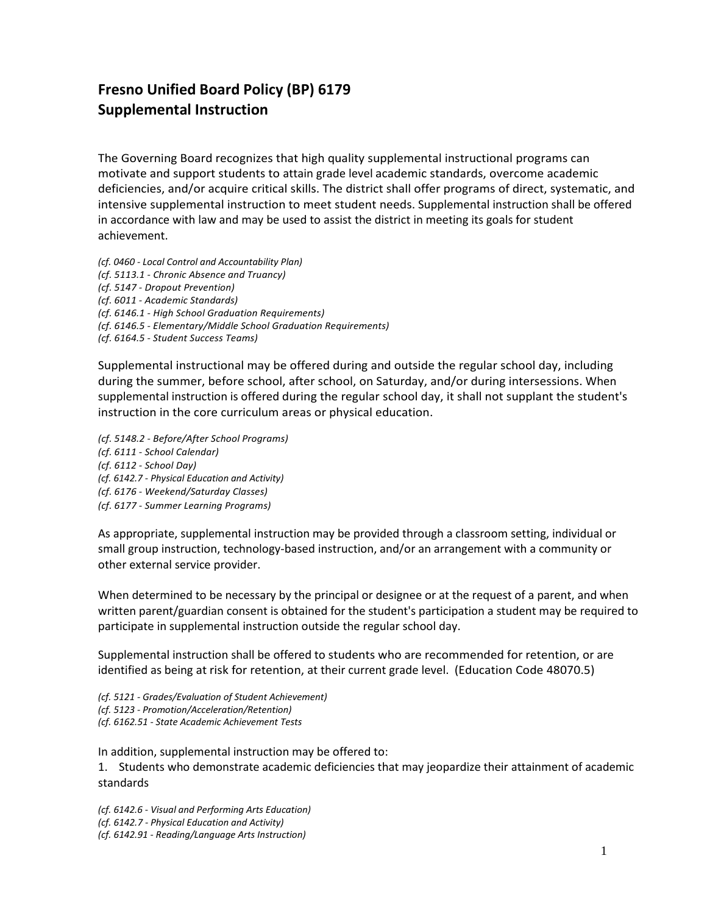## **Fresno Unified Board Policy (BP) 6179 Supplemental Instruction**

The Governing Board recognizes that high quality supplemental instructional programs can motivate and support students to attain grade level academic standards, overcome academic deficiencies, and/or acquire critical skills. The district shall offer programs of direct, systematic, and intensive supplemental instruction to meet student needs. Supplemental instruction shall be offered in accordance with law and may be used to assist the district in meeting its goals for student achievement.

*(cf. 0460 - Local Control and Accountability Plan) (cf. 5113.1 - Chronic Absence and Truancy) (cf. 5147 - Dropout Prevention) (cf. 6011 - Academic Standards) (cf. 6146.1 - High School Graduation Requirements) (cf. 6146.5 - Elementary/Middle School Graduation Requirements) (cf. 6164.5 - Student Success Teams)*

Supplemental instructional may be offered during and outside the regular school day, including during the summer, before school, after school, on Saturday, and/or during intersessions. When supplemental instruction is offered during the regular school day, it shall not supplant the student's instruction in the core curriculum areas or physical education.

*(cf. 5148.2 - Before/After School Programs) (cf. 6111 - School Calendar) (cf. 6112 - School Day) (cf. 6142.7 - Physical Education and Activity) (cf. 6176 - Weekend/Saturday Classes) (cf. 6177 - Summer Learning Programs)*

As appropriate, supplemental instruction may be provided through a classroom setting, individual or small group instruction, technology-based instruction, and/or an arrangement with a community or other external service provider.

When determined to be necessary by the principal or designee or at the request of a parent, and when written parent/guardian consent is obtained for the student's participation a student may be required to participate in supplemental instruction outside the regular school day.

Supplemental instruction shall be offered to students who are recommended for retention, or are identified as being at risk for retention, at their current grade level. (Education Code 48070.5)

*(cf. 5121 - Grades/Evaluation of Student Achievement) (cf. 5123 - Promotion/Acceleration/Retention) (cf. 6162.51 - State Academic Achievement Tests*

In addition, supplemental instruction may be offered to:

1. Students who demonstrate academic deficiencies that may jeopardize their attainment of academic standards

*(cf. 6142.6 - Visual and Performing Arts Education) (cf. 6142.7 - Physical Education and Activity) (cf. 6142.91 - Reading/Language Arts Instruction)*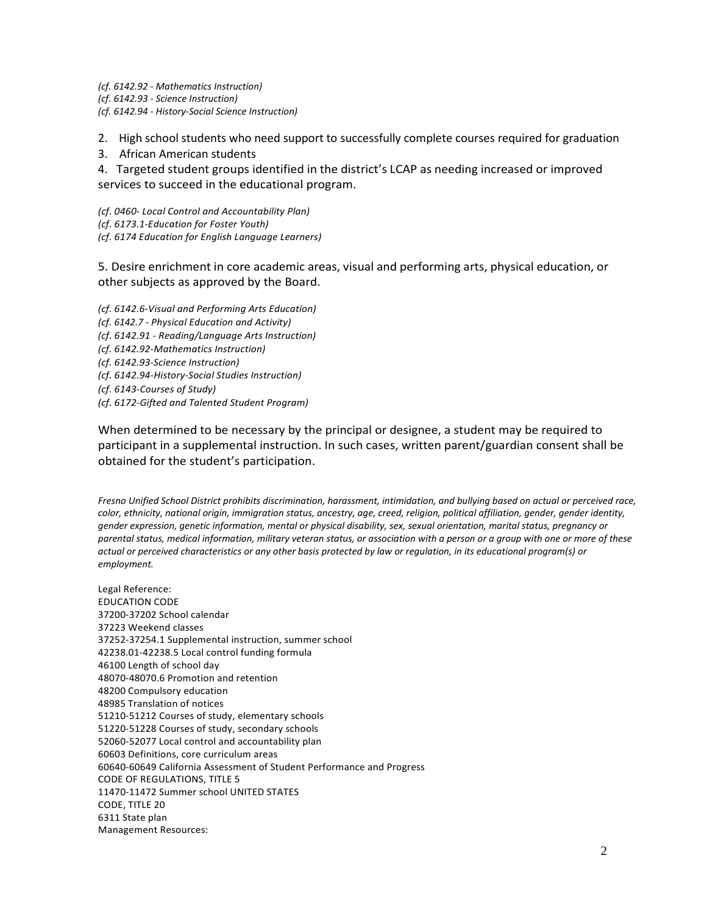*(cf. 6142.92 - Mathematics Instruction) (cf. 6142.93 - Science Instruction) (cf. 6142.94 - History-Social Science Instruction)*

2. High school students who need support to successfully complete courses required for graduation

3. African American students

4. Targeted student groups identified in the district's LCAP as needing increased or improved services to succeed in the educational program.

*(cf. 0460- Local Control and Accountability Plan) (cf. 6173.1-Education for Foster Youth) (cf. 6174 Education for English Language Learners)*

5. Desire enrichment in core academic areas, visual and performing arts, physical education, or other subjects as approved by the Board.

*(cf. 6142.6-Visual and Performing Arts Education) (cf. 6142.7 - Physical Education and Activity) (cf. 6142.91 - Reading/Language Arts Instruction) (cf. 6142.92-Mathematics Instruction) (cf. 6142.93-Science Instruction) (cf. 6142.94-History-Social Studies Instruction) (cf. 6143-Courses of Study) (cf. 6172-Gifted and Talented Student Program)*

When determined to be necessary by the principal or designee, a student may be required to participant in a supplemental instruction. In such cases, written parent/guardian consent shall be obtained for the student's participation.

*Fresno Unified School District prohibits discrimination, harassment, intimidation, and bullying based on actual or perceived race, color, ethnicity, national origin, immigration status, ancestry, age, creed, religion, political affiliation, gender, gender identity, gender expression, genetic information, mental or physical disability, sex, sexual orientation, marital status, pregnancy or parental status, medical information, military veteran status, or association with a person or a group with one or more of these actual or perceived characteristics or any other basis protected by law or regulation, in its educational program(s) or employment.*

Legal Reference: EDUCATION CODE 37200-37202 School calendar 37223 Weekend classes 37252-37254.1 Supplemental instruction, summer school 42238.01-42238.5 Local control funding formula 46100 Length of school day 48070-48070.6 Promotion and retention 48200 Compulsory education 48985 Translation of notices 51210-51212 Courses of study, elementary schools 51220-51228 Courses of study, secondary schools 52060-52077 Local control and accountability plan 60603 Definitions, core curriculum areas 60640-60649 California Assessment of Student Performance and Progress CODE OF REGULATIONS, TITLE 5 11470-11472 Summer school UNITED STATES CODE, TITLE 20 6311 State plan Management Resources: